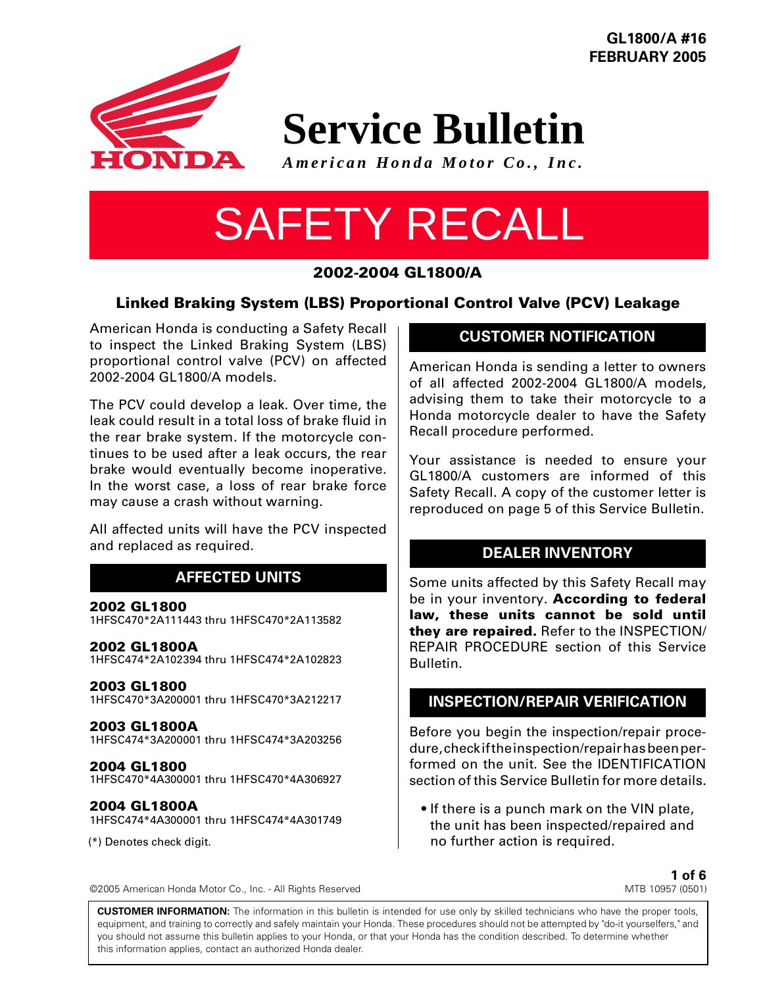

**GL1800/A #16 FEBRUARY 2005**

# **Service Bulletin**

*American Honda Motor Co., Inc.*

# SAFETY RECALL

# **2002-2004 GL1800/A**

# **Linked Braking System (LBS) Proportional Control Valve (PCV) Leakage**

American Honda is conducting a Safety Recall to inspect the Linked Braking System (LBS) proportional control valve (PCV) on affected 2002-2004 GL1800/A models.

The PCV could develop a leak. Over time, the leak could result in a total loss of brake fluid in the rear brake system. If the motorcycle continues to be used after a leak occurs, the rear brake would eventually become inoperative. In the worst case, a loss of rear brake force may cause a crash without warning.

All affected units will have the PCV inspected and replaced as required.

# **AFFECTED UNITS**

#### **2002 GL1800**

1HFSC470\*2A111443 thru 1HFSC470\*2A113582

#### **2002 GL1800A**

1HFSC474\*2A102394 thru 1HFSC474\*2A102823

#### **2003 GL1800**

1HFSC470\*3A200001 thru 1HFSC470\*3A212217

#### **2003 GL1800A**

1HFSC474\*3A200001 thru 1HFSC474\*3A203256

**2004 GL1800** 1HFSC470\*4A300001 thru 1HFSC470\*4A306927

# **2004 GL1800A**

1HFSC474\*4A300001 thru 1HFSC474\*4A301749

(\*) Denotes check digit.

# **CUSTOMER NOTIFICATION**

American Honda is sending a letter to owners of all affected 2002-2004 GL1800/A models, advising them to take their motorcycle to a Honda motorcycle dealer to have the Safety Recall procedure performed.

Your assistance is needed to ensure your GL1800/A customers are informed of this Safety Recall. A copy of the customer letter is reproduced on page 5 of this Service Bulletin.

# **DEALER INVENTORY**

Some units affected by this Safety Recall may be in your inventory. **According to federal law, these units cannot be sold until they are repaired.** Refer to the INSPECTION/ REPAIR PROCEDURE section of this Service Bulletin.

# **INSPECTION/REPAIR VERIFICATION**

Before you begin the inspection/repair procedure, check if the inspection/repair has been performed on the unit. See the IDENTIFICATION section of this Service Bulletin for more details.

• If there is a punch mark on the VIN plate, the unit has been inspected/repaired and no further action is required.

> **1 of 6** MTB 10957 (0501)

**CUSTOMER INFORMATION:** The information in this bulletin is intended for use only by skilled technicians who have the proper tools, equipment, and training to correctly and safely maintain your Honda. These procedures should not be attempted by "do-it yourselfers," and you should not assume this bulletin applies to your Honda, or that your Honda has the condition described. To determine whether this information applies, contact an authorized Honda dealer.

©2005 American Honda Motor Co., Inc. - All Rights Reserved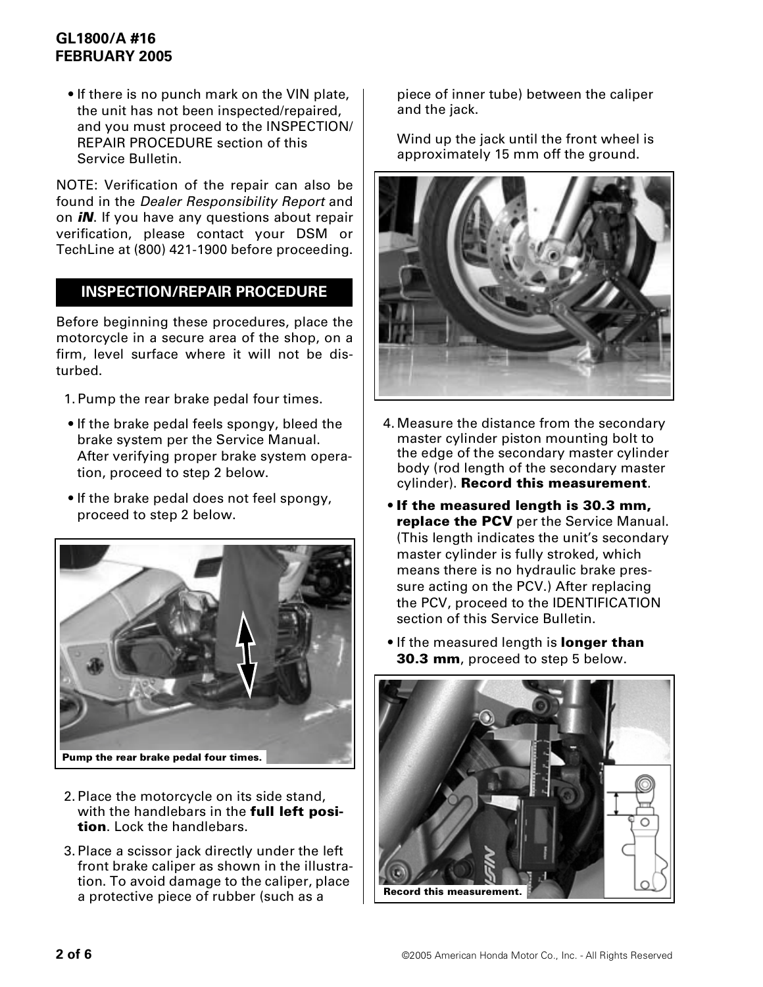# **GL1800/A #16 FEBRUARY 2005**

• If there is no punch mark on the VIN plate, the unit has not been inspected/repaired, and you must proceed to the INSPECTION/ REPAIR PROCEDURE section of this Service Bulletin.

NOTE: Verification of the repair can also be found in the Dealer Responsibility Report and on *iN*. If you have any questions about repair verification, please contact your DSM or TechLine at (800) 421-1900 before proceeding.

# **INSPECTION/REPAIR PROCEDURE**

Before beginning these procedures, place the motorcycle in a secure area of the shop, on a firm, level surface where it will not be disturbed.

- 1.Pump the rear brake pedal four times.
- If the brake pedal feels spongy, bleed the brake system per the Service Manual. After verifying proper brake system operation, proceed to step 2 below.
- If the brake pedal does not feel spongy, proceed to step 2 below.



- 2.Place the motorcycle on its side stand, with the handlebars in the **full left position**. Lock the handlebars.
- 3.Place a scissor jack directly under the left front brake caliper as shown in the illustration. To avoid damage to the caliper, place a protective piece of rubber (such as a

piece of inner tube) between the caliper and the jack.

Wind up the jack until the front wheel is approximately 15 mm off the ground.



- 4.Measure the distance from the secondary master cylinder piston mounting bolt to the edge of the secondary master cylinder body (rod length of the secondary master cylinder). **Record this measurement**.
- **If the measured length is 30.3 mm, replace the PCV** per the Service Manual. (This length indicates the unit's secondary master cylinder is fully stroked, which means there is no hydraulic brake pressure acting on the PCV.) After replacing the PCV, proceed to the IDENTIFICATION section of this Service Bulletin.
- If the measured length is **longer than 30.3 mm**, proceed to step 5 below.

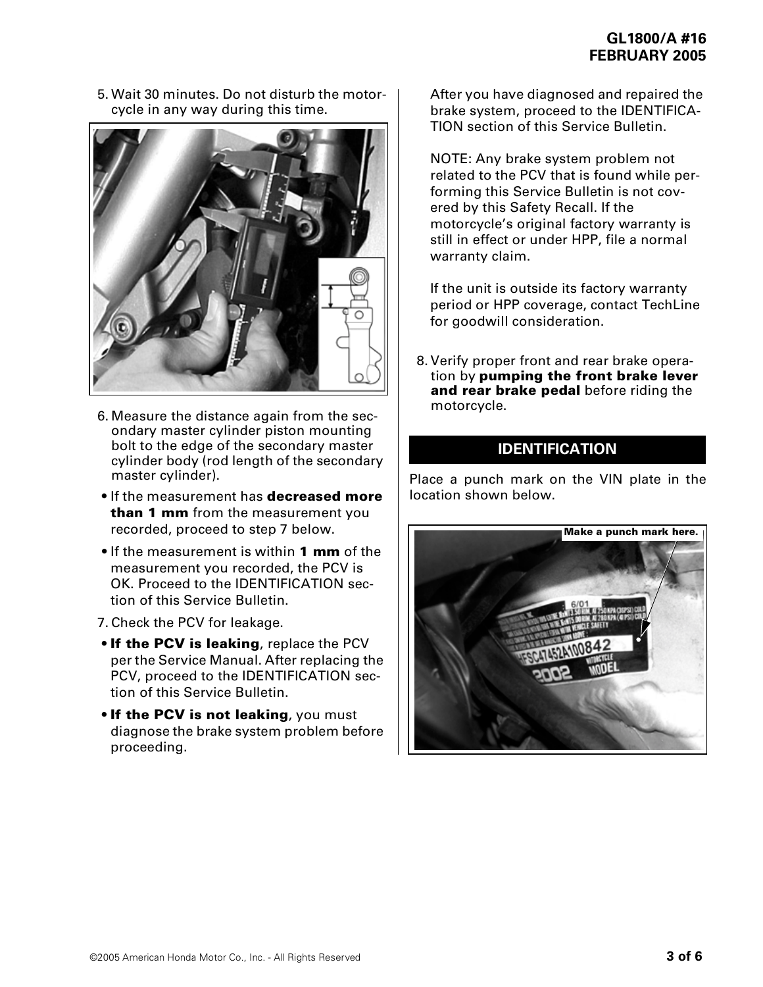5.Wait 30 minutes. Do not disturb the motorcycle in any way during this time.



- 6.Measure the distance again from the secondary master cylinder piston mounting bolt to the edge of the secondary master cylinder body (rod length of the secondary master cylinder).
- If the measurement has **decreased more than 1 mm** from the measurement you recorded, proceed to step 7 below.
- If the measurement is within **1 mm** of the measurement you recorded, the PCV is OK. Proceed to the IDENTIFICATION section of this Service Bulletin.
- 7.Check the PCV for leakage.
- **If the PCV is leaking**, replace the PCV per the Service Manual. After replacing the PCV, proceed to the IDENTIFICATION section of this Service Bulletin.
- **If the PCV is not leaking**, you must diagnose the brake system problem before proceeding.

After you have diagnosed and repaired the brake system, proceed to the IDENTIFICA-TION section of this Service Bulletin.

NOTE: Any brake system problem not related to the PCV that is found while performing this Service Bulletin is not covered by this Safety Recall. If the motorcycle's original factory warranty is still in effect or under HPP, file a normal warranty claim.

If the unit is outside its factory warranty period or HPP coverage, contact TechLine for goodwill consideration.

8.Verify proper front and rear brake operation by **pumping the front brake lever and rear brake pedal** before riding the motorcycle.

# **IDENTIFICATION**

Place a punch mark on the VIN plate in the location shown below.

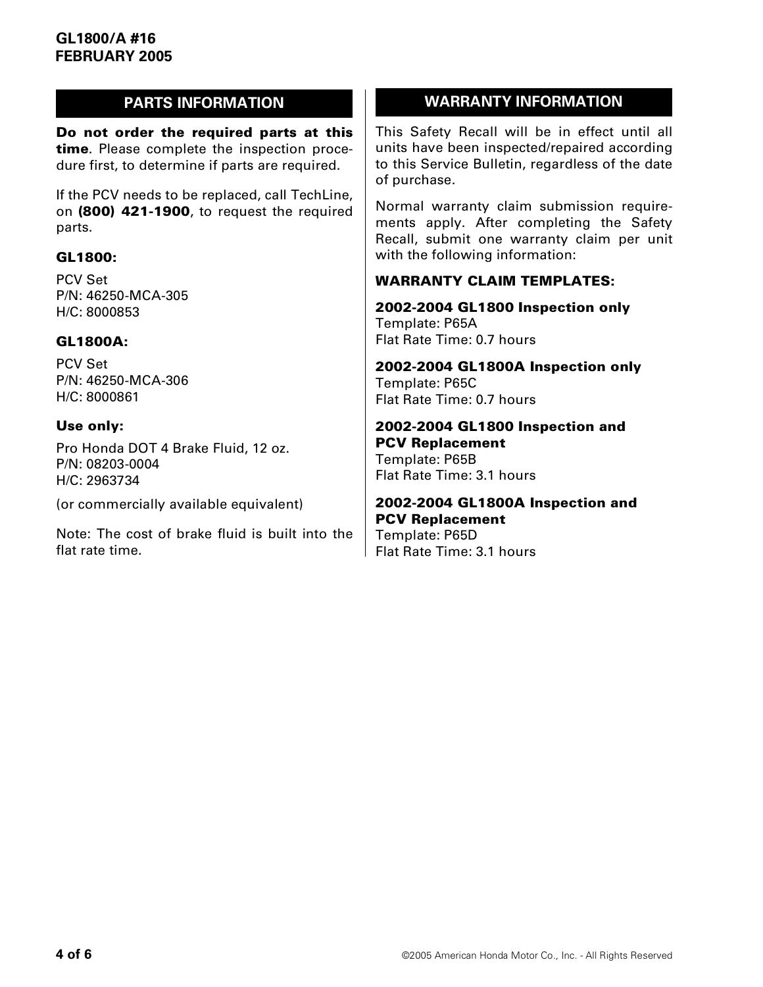**Do not order the required parts at this time**. Please complete the inspection procedure first, to determine if parts are required.

If the PCV needs to be replaced, call TechLine, on **(800) 421-1900**, to request the required parts.

### **GL1800:**

PCV Set P/N: 46250-MCA-305 H/C: 8000853

#### **GL1800A:**

PCV Set P/N: 46250-MCA-306 H/C: 8000861

#### **Use only:**

Pro Honda DOT 4 Brake Fluid, 12 oz. P/N: 08203-0004 H/C: 2963734

(or commercially available equivalent)

Note: The cost of brake fluid is built into the flat rate time.

# **PARTS INFORMATION WARRANTY INFORMATION**

This Safety Recall will be in effect until all units have been inspected/repaired according to this Service Bulletin, regardless of the date of purchase.

Normal warranty claim submission requirements apply. After completing the Safety Recall, submit one warranty claim per unit with the following information:

### **WARRANTY CLAIM TEMPLATES:**

**2002-2004 GL1800 Inspection only** Template: P65A Flat Rate Time: 0.7 hours

**2002-2004 GL1800A Inspection only** Template: P65C Flat Rate Time: 0.7 hours

**2002-2004 GL1800 Inspection and PCV Replacement** Template: P65B Flat Rate Time: 3.1 hours

# **2002-2004 GL1800A Inspection and PCV Replacement**

Template: P65D Flat Rate Time: 3.1 hours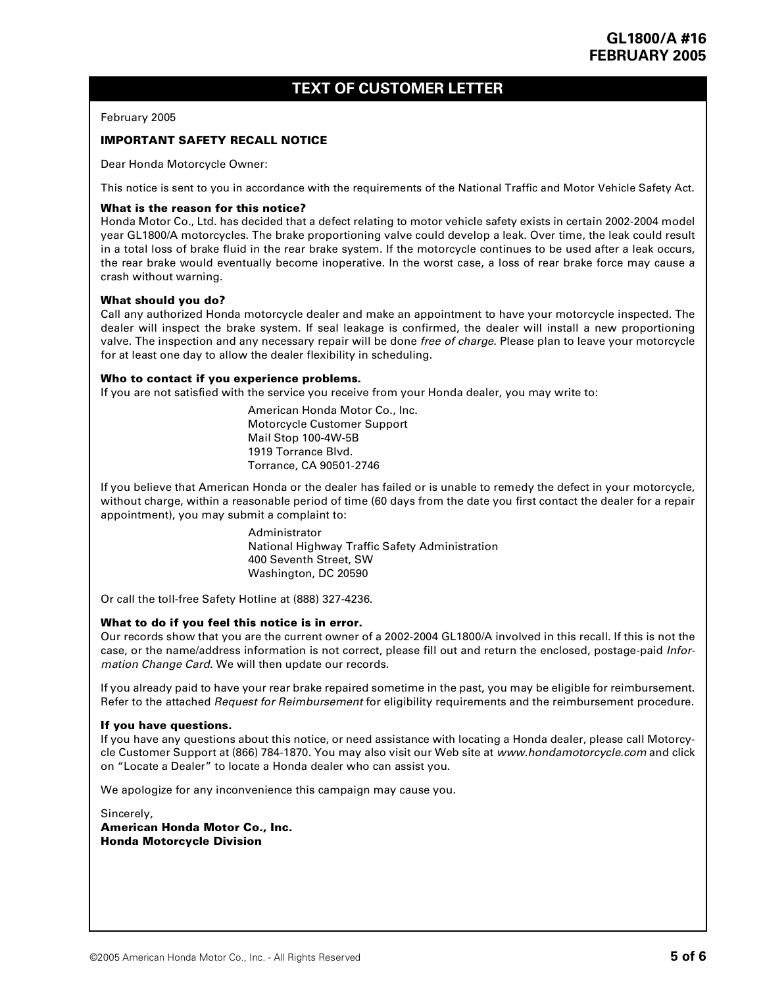# **TEXT OF CUSTOMER LETTER**

#### February 2005

#### **IMPORTANT SAFETY RECALL NOTICE**

Dear Honda Motorcycle Owner:

This notice is sent to you in accordance with the requirements of the National Traffic and Motor Vehicle Safety Act.

#### **What is the reason for this notice?**

Honda Motor Co., Ltd. has decided that a defect relating to motor vehicle safety exists in certain 2002-2004 model year GL1800/A motorcycles. The brake proportioning valve could develop a leak. Over time, the leak could result in a total loss of brake fluid in the rear brake system. If the motorcycle continues to be used after a leak occurs, the rear brake would eventually become inoperative. In the worst case, a loss of rear brake force may cause a crash without warning.

#### **What should you do?**

Call any authorized Honda motorcycle dealer and make an appointment to have your motorcycle inspected. The dealer will inspect the brake system. If seal leakage is confirmed, the dealer will install a new proportioning valve. The inspection and any necessary repair will be done free of charge. Please plan to leave your motorcycle for at least one day to allow the dealer flexibility in scheduling.

#### **Who to contact if you experience problems.**

If you are not satisfied with the service you receive from your Honda dealer, you may write to:

American Honda Motor Co., Inc. Motorcycle Customer Support Mail Stop 100-4W-5B 1919 Torrance Blvd. Torrance, CA 90501-2746

If you believe that American Honda or the dealer has failed or is unable to remedy the defect in your motorcycle, without charge, within a reasonable period of time (60 days from the date you first contact the dealer for a repair appointment), you may submit a complaint to:

> Administrator National Highway Traffic Safety Administration 400 Seventh Street, SW Washington, DC 20590

Or call the toll-free Safety Hotline at (888) 327-4236.

#### **What to do if you feel this notice is in error.**

Our records show that you are the current owner of a 2002-2004 GL1800/A involved in this recall. If this is not the case, or the name/address information is not correct, please fill out and return the enclosed, postage-paid Information Change Card. We will then update our records.

If you already paid to have your rear brake repaired sometime in the past, you may be eligible for reimbursement. Refer to the attached Request for Reimbursement for eligibility requirements and the reimbursement procedure.

#### **If you have questions.**

If you have any questions about this notice, or need assistance with locating a Honda dealer, please call Motorcycle Customer Support at (866) 784-1870. You may also visit our Web site at www.hondamotorcycle.com and click on "Locate a Dealer" to locate a Honda dealer who can assist you.

We apologize for any inconvenience this campaign may cause you.

Sincerely, **American Honda Motor Co., Inc. Honda Motorcycle Division**